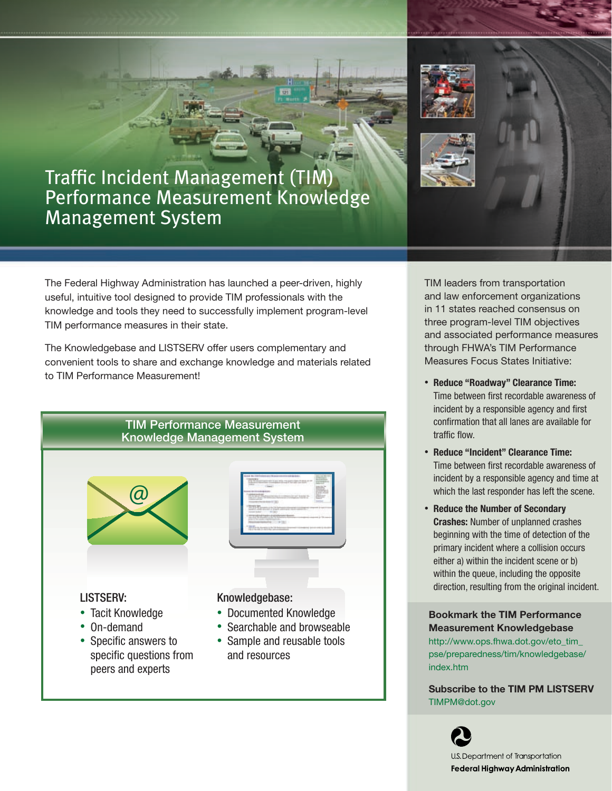

The Federal Highway Administration has launched a peer-driven, highly useful, intuitive tool designed to provide TIM professionals with the knowledge and tools they need to successfully implement program-level TIM performance measures in their state.

The Knowledgebase and LISTSERV offer users complementary and convenient tools to share and exchange knowledge and materials related to TIM Performance Measurement!



TIM leaders from transportation and law enforcement organizations in 11 states reached consensus on three program-level TIM objectives and associated performance measures through FHWA's TIM Performance Measures Focus States Initiative:

- Reduce "Roadway" Clearance Time: Time between first recordable awareness of incident by a responsible agency and first confirmation that all lanes are available for traffic flow.
- Reduce "Incident" Clearance Time: Time between first recordable awareness of incident by a responsible agency and time at which the last responder has left the scene.
- Reduce the Number of Secondary **Crashes:** Number of unplanned crashes beginning with the time of detection of the primary incident where a collision occurs either a) within the incident scene or b) within the queue, including the opposite direction, resulting from the original incident.

Bookmark the TIM Performance Measurement Knowledgebase

http://www.ops.fhwa.dot.gov/eto\_tim\_ pse/preparedness/tim/knowledgebase/ index.htm

Subscribe to the TIM PM LISTSERV TIMPM@dot.gov

> U.S. Department of Transportation Federal Highway Administration